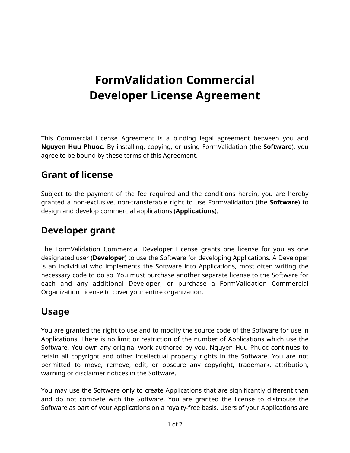# **FormValidation Commercial Developer License Agreement**

This Commercial License Agreement is a binding legal agreement between you and **Nguyen Huu Phuoc**. By installing, copying, or using FormValidation (the **Software**), you agree to be bound by these terms of this Agreement.

### **Grant of license**

Subject to the payment of the fee required and the conditions herein, you are hereby granted a non-exclusive, non-transferable right to use FormValidation (the **Software**) to design and develop commercial applications (**Applications**).

### **Developer grant**

The FormValidation Commercial Developer License grants one license for you as one designated user (**Developer**) to use the Software for developing Applications. A Developer is an individual who implements the Software into Applications, most often writing the necessary code to do so. You must purchase another separate license to the Software for each and any additional Developer, or purchase a FormValidation Commercial Organization License to cover your entire organization.

## **Usage**

You are granted the right to use and to modify the source code of the Software for use in Applications. There is no limit or restriction of the number of Applications which use the Software. You own any original work authored by you. Nguyen Huu Phuoc continues to retain all copyright and other intellectual property rights in the Software. You are not permitted to move, remove, edit, or obscure any copyright, trademark, attribution, warning or disclaimer notices in the Software.

You may use the Software only to create Applications that are significantly different than and do not compete with the Software. You are granted the license to distribute the Software as part of your Applications on a royalty-free basis. Users of your Applications are